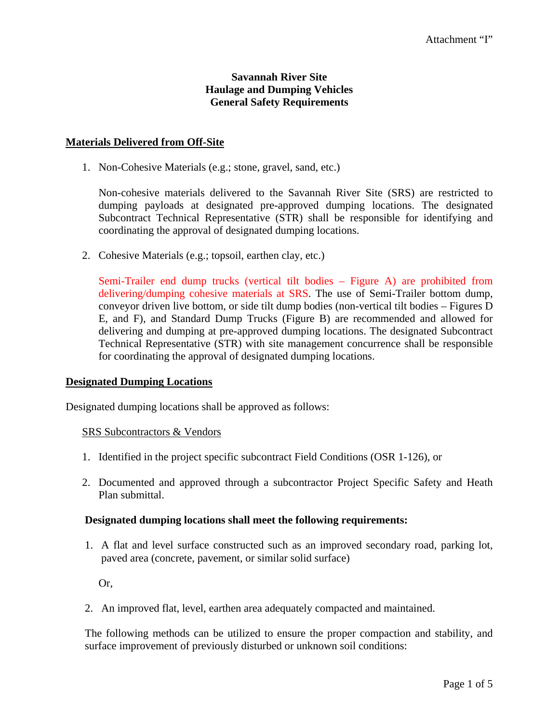## **Savannah River Site Haulage and Dumping Vehicles General Safety Requirements**

#### **Materials Delivered from Off-Site**

1. Non-Cohesive Materials (e.g.; stone, gravel, sand, etc.)

Non-cohesive materials delivered to the Savannah River Site (SRS) are restricted to dumping payloads at designated pre-approved dumping locations. The designated Subcontract Technical Representative (STR) shall be responsible for identifying and coordinating the approval of designated dumping locations.

2. Cohesive Materials (e.g.; topsoil, earthen clay, etc.)

Semi-Trailer end dump trucks (vertical tilt bodies – Figure A) are prohibited from delivering/dumping cohesive materials at SRS. The use of Semi-Trailer bottom dump, conveyor driven live bottom, or side tilt dump bodies (non-vertical tilt bodies – Figures D E, and F), and Standard Dump Trucks (Figure B) are recommended and allowed for delivering and dumping at pre-approved dumping locations. The designated Subcontract Technical Representative (STR) with site management concurrence shall be responsible for coordinating the approval of designated dumping locations.

#### **Designated Dumping Locations**

Designated dumping locations shall be approved as follows:

#### SRS Subcontractors & Vendors

- 1. Identified in the project specific subcontract Field Conditions (OSR 1-126), or
- 2. Documented and approved through a subcontractor Project Specific Safety and Heath Plan submittal.

#### **Designated dumping locations shall meet the following requirements:**

1. A flat and level surface constructed such as an improved secondary road, parking lot, paved area (concrete, pavement, or similar solid surface)

Or,

2. An improved flat, level, earthen area adequately compacted and maintained.

The following methods can be utilized to ensure the proper compaction and stability, and surface improvement of previously disturbed or unknown soil conditions: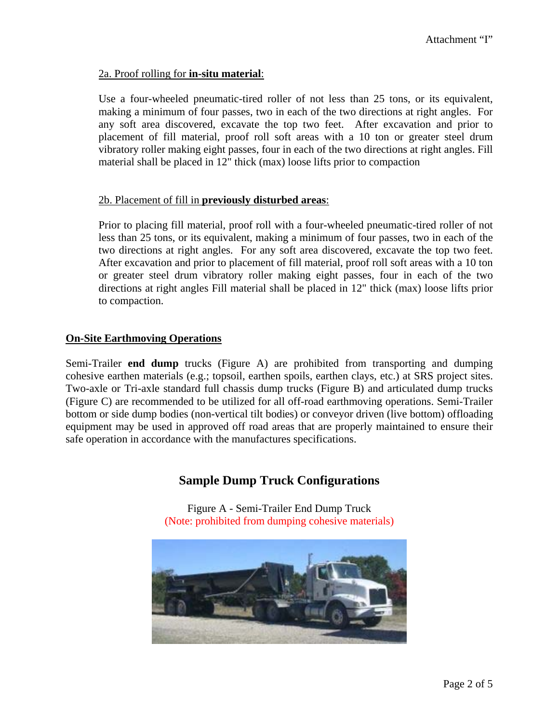## 2a. Proof rolling for **in-situ material**:

Use a four-wheeled pneumatic-tired roller of not less than 25 tons, or its equivalent, making a minimum of four passes, two in each of the two directions at right angles. For any soft area discovered, excavate the top two feet. After excavation and prior to placement of fill material, proof roll soft areas with a 10 ton or greater steel drum vibratory roller making eight passes, four in each of the two directions at right angles. Fill material shall be placed in 12" thick (max) loose lifts prior to compaction

#### 2b. Placement of fill in **previously disturbed areas**:

Prior to placing fill material, proof roll with a four-wheeled pneumatic-tired roller of not less than 25 tons, or its equivalent, making a minimum of four passes, two in each of the two directions at right angles. For any soft area discovered, excavate the top two feet. After excavation and prior to placement of fill material, proof roll soft areas with a 10 ton or greater steel drum vibratory roller making eight passes, four in each of the two directions at right angles Fill material shall be placed in 12" thick (max) loose lifts prior to compaction.

## **On-Site Earthmoving Operations**

Semi-Trailer **end dump** trucks (Figure A) are prohibited from transporting and dumping cohesive earthen materials (e.g.; topsoil, earthen spoils, earthen clays, etc.) at SRS project sites. Two-axle or Tri-axle standard full chassis dump trucks (Figure B) and articulated dump trucks (Figure C) are recommended to be utilized for all off-road earthmoving operations. Semi-Trailer bottom or side dump bodies (non-vertical tilt bodies) or conveyor driven (live bottom) offloading equipment may be used in approved off road areas that are properly maintained to ensure their safe operation in accordance with the manufactures specifications.

# **Sample Dump Truck Configurations**

Figure A - Semi-Trailer End Dump Truck (Note: prohibited from dumping cohesive materials)

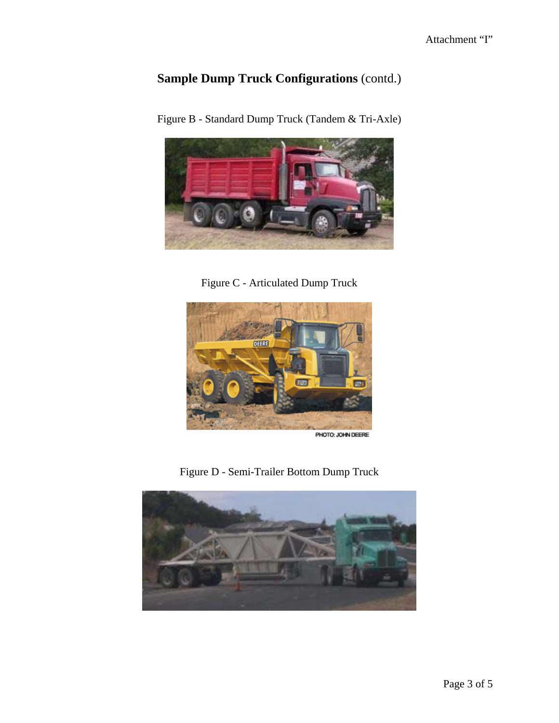# **Sample Dump Truck Configurations** (contd.)



Figure B - Standard Dump Truck (Tandem & Tri-Axle)

Figure C - Articulated Dump Truck



Figure D - Semi-Trailer Bottom Dump Truck

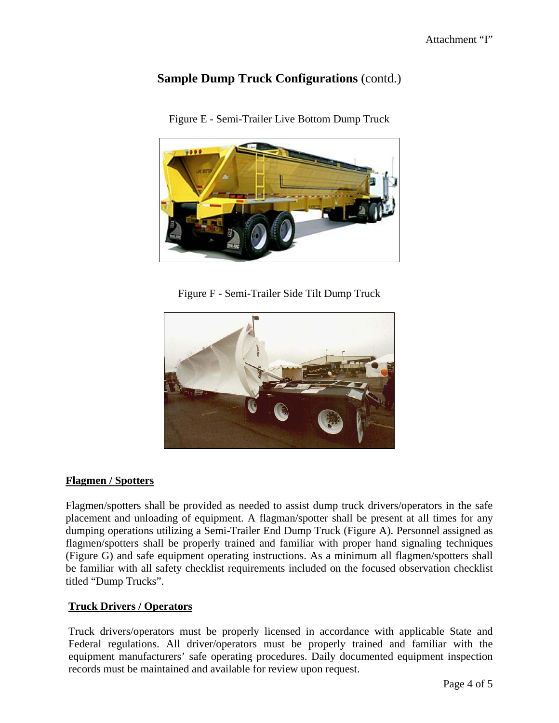# **Sample Dump Truck Configurations** (contd.)



Figure E - Semi-Trailer Live Bottom Dump Truck

Figure F - Semi-Trailer Side Tilt Dump Truck



# **Flagmen / Spotters**

Flagmen/spotters shall be provided as needed to assist dump truck drivers/operators in the safe placement and unloading of equipment. A flagman/spotter shall be present at all times for any dumping operations utilizing a Semi-Trailer End Dump Truck (Figure A). Personnel assigned as flagmen/spotters shall be properly trained and familiar with proper hand signaling techniques (Figure G) and safe equipment operating instructions. As a minimum all flagmen/spotters shall be familiar with all safety checklist requirements included on the focused observation checklist titled "Dump Trucks".

# **Truck Drivers / Operators**

Truck drivers/operators must be properly licensed in accordance with applicable State and Federal regulations. All driver/operators must be properly trained and familiar with the equipment manufacturers' safe operating procedures. Daily documented equipment inspection records must be maintained and available for review upon request.